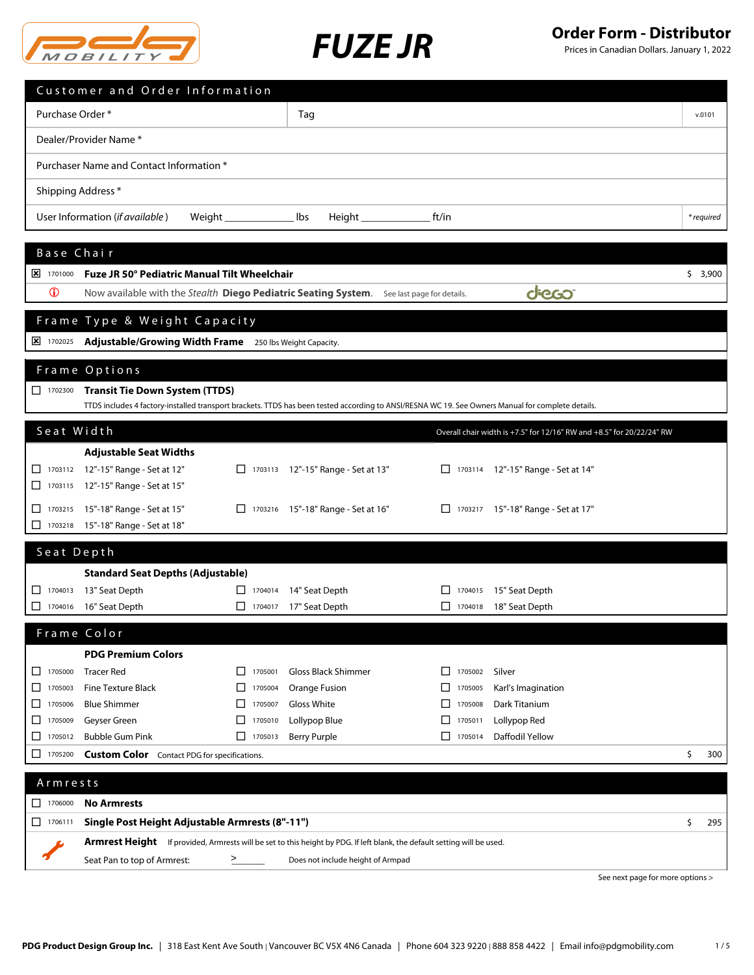



|                               | Customer and Order Information                                                                                                                    |                                    |                                            |                                    |                                                                       |                                  |            |
|-------------------------------|---------------------------------------------------------------------------------------------------------------------------------------------------|------------------------------------|--------------------------------------------|------------------------------------|-----------------------------------------------------------------------|----------------------------------|------------|
| Purchase Order*               |                                                                                                                                                   |                                    | Tag                                        |                                    |                                                                       |                                  | v.0101     |
|                               | Dealer/Provider Name*                                                                                                                             |                                    |                                            |                                    |                                                                       |                                  |            |
|                               | Purchaser Name and Contact Information *                                                                                                          |                                    |                                            |                                    |                                                                       |                                  |            |
|                               | Shipping Address*                                                                                                                                 |                                    |                                            |                                    |                                                                       |                                  |            |
|                               | User Information (if available)                                                                                                                   |                                    | lbs<br>Height _______________              | ft/in                              |                                                                       |                                  | * required |
|                               |                                                                                                                                                   |                                    |                                            |                                    |                                                                       |                                  |            |
| Base Chair                    |                                                                                                                                                   |                                    |                                            |                                    |                                                                       |                                  |            |
| $\frac{\times}{1701000}$      | Fuze JR 50° Pediatric Manual Tilt Wheelchair                                                                                                      |                                    |                                            |                                    |                                                                       |                                  | \$3,900    |
|                               | $\bigcirc$<br>dieco<br>Now available with the Stealth Diego Pediatric Seating System. See last page for details.                                  |                                    |                                            |                                    |                                                                       |                                  |            |
|                               | Frame Type & Weight Capacity                                                                                                                      |                                    |                                            |                                    |                                                                       |                                  |            |
| $\frac{1}{2}$ 1702025         | Adjustable/Growing Width Frame 250 lbs Weight Capacity.                                                                                           |                                    |                                            |                                    |                                                                       |                                  |            |
|                               | Frame Options                                                                                                                                     |                                    |                                            |                                    |                                                                       |                                  |            |
| $\Box$ 1702300                | <b>Transit Tie Down System (TTDS)</b>                                                                                                             |                                    |                                            |                                    |                                                                       |                                  |            |
|                               | TTDS includes 4 factory-installed transport brackets. TTDS has been tested according to ANSI/RESNA WC 19. See Owners Manual for complete details. |                                    |                                            |                                    |                                                                       |                                  |            |
| Seat Width                    |                                                                                                                                                   |                                    |                                            |                                    | Overall chair width is +7.5" for 12/16" RW and +8.5" for 20/22/24" RW |                                  |            |
|                               | <b>Adjustable Seat Widths</b>                                                                                                                     |                                    |                                            |                                    |                                                                       |                                  |            |
|                               | 1703112 12"-15" Range - Set at 12"                                                                                                                |                                    | □ 1703113 12"-15" Range - Set at 13"       |                                    | □ 1703114 12"-15" Range - Set at 14"                                  |                                  |            |
|                               | 1703115 12"-15" Range - Set at 15"                                                                                                                |                                    |                                            |                                    |                                                                       |                                  |            |
| $\Box$<br>□<br>1703218        | 1703215 15"-18" Range - Set at 15"                                                                                                                |                                    | □ 1703216 15"-18" Range - Set at 16"       |                                    | □ 1703217 15"-18" Range - Set at 17"                                  |                                  |            |
|                               | 15"-18" Range - Set at 18"                                                                                                                        |                                    |                                            |                                    |                                                                       |                                  |            |
| Seat Depth                    |                                                                                                                                                   |                                    |                                            |                                    |                                                                       |                                  |            |
|                               | <b>Standard Seat Depths (Adjustable)</b>                                                                                                          |                                    |                                            |                                    |                                                                       |                                  |            |
| 1704013<br>1704016            | 13" Seat Depth<br>16" Seat Depth                                                                                                                  | $\Box$ 1704017                     | □ 1704014 14" Seat Depth<br>17" Seat Depth | $\perp$<br>1704015<br>П<br>1704018 | 15" Seat Depth<br>18" Seat Depth                                      |                                  |            |
|                               |                                                                                                                                                   |                                    |                                            |                                    |                                                                       |                                  |            |
|                               | Frame Color                                                                                                                                       |                                    |                                            |                                    |                                                                       |                                  |            |
|                               | <b>PDG Premium Colors</b>                                                                                                                         |                                    |                                            |                                    |                                                                       |                                  |            |
| 1705000<br>ப<br>□<br>1705003  | <b>Tracer Red</b><br><b>Fine Texture Black</b>                                                                                                    | П.<br>1705001<br>$\Box$<br>1705004 | Gloss Black Shimmer                        | 1705002<br>$\perp$<br>ப<br>1705005 | Silver<br>Karl's Imagination                                          |                                  |            |
| 1705006<br>⊔                  | <b>Blue Shimmer</b>                                                                                                                               | 1705007<br>$\perp$                 | Orange Fusion<br>Gloss White               | □<br>1705008                       | Dark Titanium                                                         |                                  |            |
| 1705009<br>□                  | Geyser Green                                                                                                                                      | П<br>1705010                       | Lollypop Blue                              | П<br>1705011                       | Lollypop Red                                                          |                                  |            |
| 1705012<br>ப                  | <b>Bubble Gum Pink</b>                                                                                                                            | $\Box$ 1705013                     | <b>Berry Purple</b>                        | $\Box$ 1705014                     | Daffodil Yellow                                                       |                                  |            |
| □<br>1705200                  | <b>Custom Color</b> Contact PDG for specifications.                                                                                               |                                    |                                            |                                    |                                                                       |                                  | \$<br>300  |
| Armrests                      |                                                                                                                                                   |                                    |                                            |                                    |                                                                       |                                  |            |
| $\boxed{\phantom{1}}$ 1706000 | <b>No Armrests</b>                                                                                                                                |                                    |                                            |                                    |                                                                       |                                  |            |
| $\Box$ 1706111                | Single Post Height Adjustable Armrests (8"-11")                                                                                                   |                                    |                                            |                                    |                                                                       |                                  | \$<br>295  |
|                               | Armrest Height If provided, Armrests will be set to this height by PDG. If left blank, the default setting will be used.                          |                                    |                                            |                                    |                                                                       |                                  |            |
|                               | Seat Pan to top of Armrest:                                                                                                                       | $\geq$                             | Does not include height of Armpad          |                                    |                                                                       |                                  |            |
|                               |                                                                                                                                                   |                                    |                                            |                                    |                                                                       | See next page for more options > |            |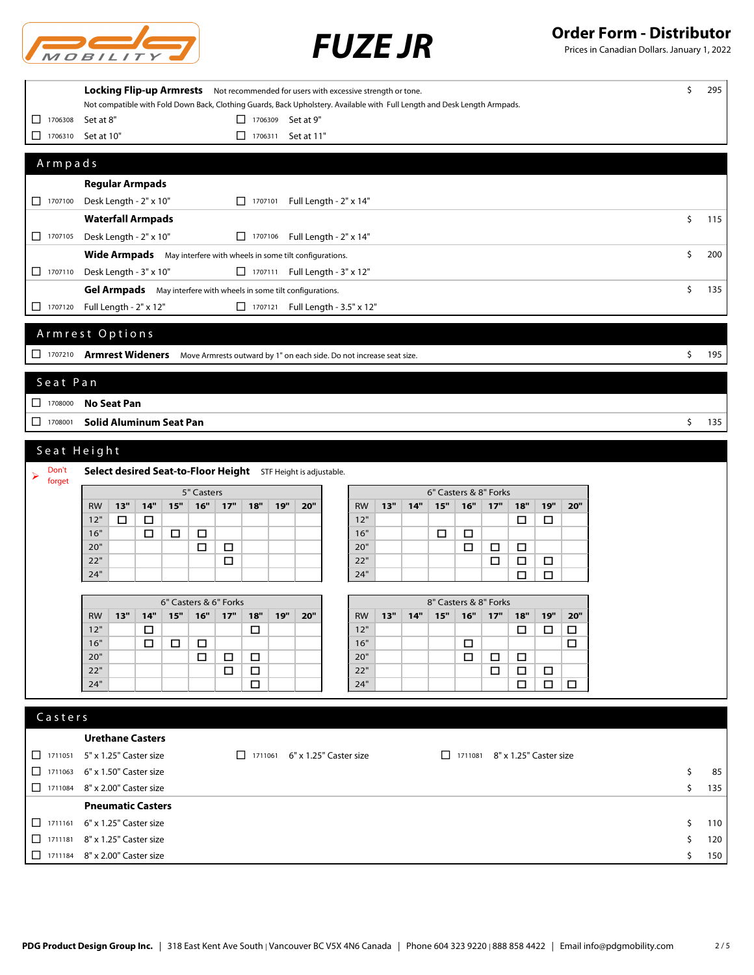

*FUZE JR* **Order Form - Distributor**

|                                                               | Locking Flip-up Armrests Not recommended for users with excessive strength or tone. |                                                                      |                                                                                                                           |           |  |
|---------------------------------------------------------------|-------------------------------------------------------------------------------------|----------------------------------------------------------------------|---------------------------------------------------------------------------------------------------------------------------|-----------|--|
|                                                               |                                                                                     |                                                                      | Not compatible with Fold Down Back, Clothing Guards, Back Upholstery. Available with Full Length and Desk Length Armpads. |           |  |
| $\boxed{\phantom{000}}$ 1706308                               | Set at 8"                                                                           | $\Box$ 1706309 Set at 9"                                             |                                                                                                                           |           |  |
| □<br>1706310                                                  | Set at 10"                                                                          | Set at 11"<br>$\Box$<br>1706311                                      |                                                                                                                           |           |  |
| Armpads                                                       |                                                                                     |                                                                      |                                                                                                                           |           |  |
|                                                               | <b>Regular Armpads</b>                                                              |                                                                      |                                                                                                                           |           |  |
| 1707100                                                       | Desk Length - 2" x 10"                                                              | □ 1707101 Full Length - 2" x 14"                                     |                                                                                                                           |           |  |
|                                                               | <b>Waterfall Armpads</b>                                                            |                                                                      |                                                                                                                           | \$<br>115 |  |
| $\Box$ 1707105                                                | Desk Length - 2" x 10"                                                              | □ 1707106 Full Length - 2" x 14"                                     |                                                                                                                           |           |  |
|                                                               | Wide Armpads May interfere with wheels in some tilt configurations.                 |                                                                      |                                                                                                                           | \$<br>200 |  |
| $\Box$ 1707110                                                | Desk Length - 3" x 10"                                                              | $\Box$ 1707111 Full Length - 3" x 12"                                |                                                                                                                           |           |  |
|                                                               | Gel Armpads May interfere with wheels in some tilt configurations.                  |                                                                      |                                                                                                                           | \$<br>135 |  |
| $\Box$ 1707120                                                | Full Length - 2" x 12"                                                              | □ 1707121 Full Length - 3.5" x 12"                                   |                                                                                                                           |           |  |
|                                                               | Armrest Options                                                                     |                                                                      |                                                                                                                           |           |  |
|                                                               | 1707210 Armrest Wideners                                                            | Move Armrests outward by 1" on each side. Do not increase seat size. |                                                                                                                           | \$<br>195 |  |
| Seat Pan                                                      |                                                                                     |                                                                      |                                                                                                                           |           |  |
| $\begin{array}{ c c c c c } \hline \quad 1708000 \end{array}$ | <b>No Seat Pan</b>                                                                  |                                                                      |                                                                                                                           |           |  |
| 1708001                                                       | <b>Solid Aluminum Seat Pan</b>                                                      |                                                                      |                                                                                                                           | \$<br>135 |  |
|                                                               |                                                                                     |                                                                      |                                                                                                                           |           |  |
| Seat Height                                                   |                                                                                     |                                                                      |                                                                                                                           |           |  |
| Don't<br>➤<br>forget                                          | Select desired Seat-to-Floor Height STF Height is adjustable.                       |                                                                      |                                                                                                                           |           |  |
|                                                               | 5" Casters                                                                          |                                                                      | 6" Casters & 8" Forks                                                                                                     |           |  |
|                                                               | 14"<br>15"<br>$16"$<br>13"<br><b>RW</b>                                             | 17"<br>18"<br>19"<br>20"                                             | 15"<br>17"<br>19"<br>13"<br>14"<br>16"<br>18"<br><b>RW</b><br>20"                                                         |           |  |
|                                                               | 12"<br>□<br>$\Box$                                                                  |                                                                      | 12"<br>$\Box$<br>$\Box$                                                                                                   |           |  |
|                                                               | 16"<br>$\Box$<br>□<br>□<br>20"<br>□                                                 | □                                                                    | 16"<br>□<br>□<br>20"<br>$\Box$<br>$\Box$<br>$\Box$                                                                        |           |  |
|                                                               | 22"                                                                                 | $\Box$                                                               | 22"<br>$\Box$<br>$\Box$<br>$\Box$                                                                                         |           |  |
|                                                               | 24"                                                                                 |                                                                      | 24"<br>□<br>$\Box$                                                                                                        |           |  |
|                                                               |                                                                                     |                                                                      |                                                                                                                           |           |  |
|                                                               | 6" Casters & 6" Forks<br>13"<br>14"<br>15"<br>16"<br><b>RW</b>                      | 17"<br>18"<br><b>19"</b><br>20"                                      | 8" Casters & 8" Forks<br>13"<br>14"<br>15"<br>16"<br>17"<br>18"<br>19"<br>20"<br><b>RW</b>                                |           |  |
|                                                               | 12"<br>□                                                                            | □                                                                    | □<br>$\Box$<br>□<br>12"                                                                                                   |           |  |
|                                                               | 16"<br>□<br>$\Box$<br>□                                                             |                                                                      | $\Box$<br>16"<br>□                                                                                                        |           |  |
|                                                               | 20"<br>$\Box$                                                                       | $\Box$<br>□                                                          | 20"<br>$\Box$<br>□<br>□                                                                                                   |           |  |
|                                                               | 22"                                                                                 | $\Box$<br>$\Box$                                                     | 22"<br>$\Box$<br>$\Box$<br>$\Box$                                                                                         |           |  |
|                                                               | 24"                                                                                 | $\Box$                                                               | 24"<br>$\Box$<br>$\Box$<br>$\Box$                                                                                         |           |  |
| Casters                                                       |                                                                                     |                                                                      |                                                                                                                           |           |  |
|                                                               | <b>Urethane Casters</b>                                                             |                                                                      |                                                                                                                           |           |  |
| $\Box$ 1711051                                                | 5" x 1.25" Caster size                                                              | $\Box$ 1711061 6" x 1.25" Caster size                                | $\Box$ 1711081 8" x 1.25" Caster size                                                                                     |           |  |
| □<br>1711063                                                  | 6" x 1.50" Caster size                                                              |                                                                      |                                                                                                                           | \$<br>85  |  |
|                                                               | □ 1711084 8" x 2.00" Caster size                                                    |                                                                      |                                                                                                                           | \$<br>135 |  |
|                                                               | <b>Pneumatic Casters</b>                                                            |                                                                      |                                                                                                                           |           |  |
|                                                               |                                                                                     |                                                                      |                                                                                                                           |           |  |
|                                                               | □ 1711161 6" x 1.25" Caster size                                                    |                                                                      |                                                                                                                           | \$<br>110 |  |
|                                                               | □ 1711181 8" x 1.25" Caster size                                                    |                                                                      |                                                                                                                           | \$<br>120 |  |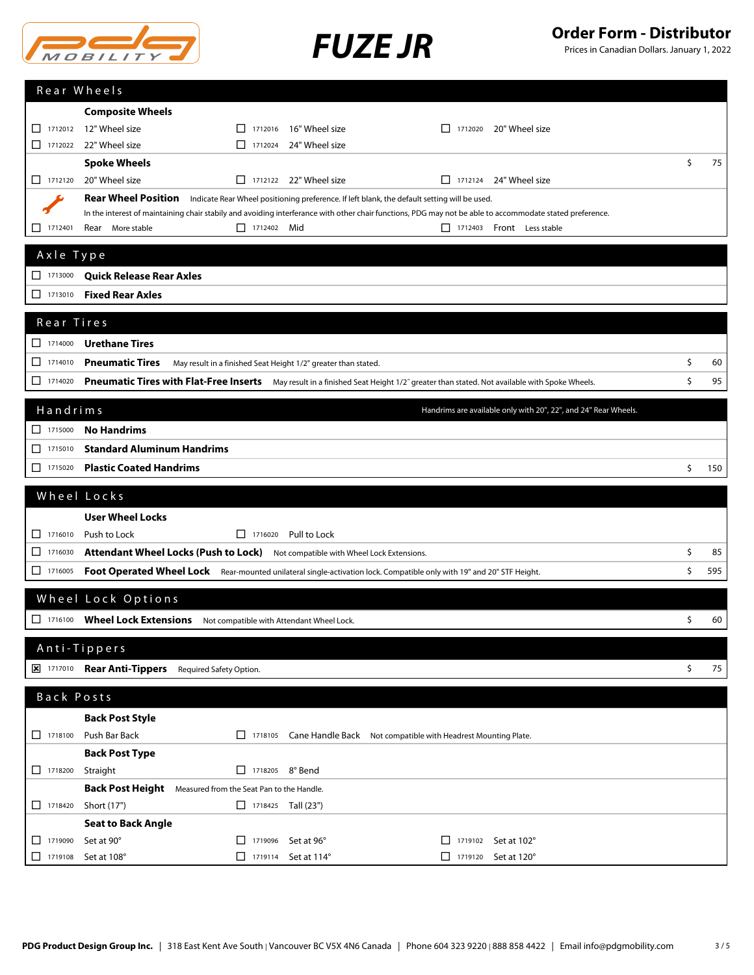



|                                                                             | Rear Wheels                                                                                                                                                                                                                               |           |
|-----------------------------------------------------------------------------|-------------------------------------------------------------------------------------------------------------------------------------------------------------------------------------------------------------------------------------------|-----------|
|                                                                             | <b>Composite Wheels</b>                                                                                                                                                                                                                   |           |
|                                                                             | 12" Wheel size<br>$\Box$ 1712016<br>16" Wheel size<br>1712020<br>20" Wheel size                                                                                                                                                           |           |
| $\Box$ 1712022                                                              | 22" Wheel size<br>24" Wheel size<br>1112024                                                                                                                                                                                               |           |
|                                                                             | <b>Spoke Wheels</b>                                                                                                                                                                                                                       | \$<br>75  |
| $\Box$ 1712120                                                              | $\Box$ 1712122 22" Wheel size<br>20" Wheel size<br>$\Box$ 1712124 24" Wheel size                                                                                                                                                          |           |
|                                                                             | <b>Rear Wheel Position</b><br>Indicate Rear Wheel positioning preference. If left blank, the default setting will be used.                                                                                                                |           |
| 1712401                                                                     | In the interest of maintaining chair stabily and avoiding interferance with other chair functions, PDG may not be able to accommodate stated preference.<br>$\Box$ 1712402 Mid<br>Rear<br>More stable<br>$\Box$ 1712403 Front Less stable |           |
|                                                                             |                                                                                                                                                                                                                                           |           |
| Axle Type                                                                   |                                                                                                                                                                                                                                           |           |
| $\boxed{\phantom{1}}$ 1713000                                               | <b>Quick Release Rear Axles</b>                                                                                                                                                                                                           |           |
| $\boxed{\phantom{000}}$ 1713010                                             | <b>Fixed Rear Axles</b>                                                                                                                                                                                                                   |           |
| Rear Tires                                                                  |                                                                                                                                                                                                                                           |           |
| $\Box$ 1714000                                                              | <b>Urethane Tires</b>                                                                                                                                                                                                                     |           |
| $\Box$ 1714010                                                              | <b>Pneumatic Tires</b><br>May result in a finished Seat Height 1/2" greater than stated.                                                                                                                                                  | \$<br>60  |
| $\Box$ 1714020                                                              | Pneumatic Tires with Flat-Free Inserts May result in a finished Seat Height 1/2" greater than stated. Not available with Spoke Wheels.                                                                                                    | \$<br>95  |
|                                                                             |                                                                                                                                                                                                                                           |           |
| Handrims                                                                    | Handrims are available only with 20", 22", and 24" Rear Wheels.                                                                                                                                                                           |           |
| $\boxed{\phantom{0}}$ 1715000                                               | <b>No Handrims</b>                                                                                                                                                                                                                        |           |
| $\Box$ 1715010                                                              | <b>Standard Aluminum Handrims</b>                                                                                                                                                                                                         |           |
| $\begin{array}{ c c c c c c } \hline \quad & 1715020 \\ \hline \end{array}$ | <b>Plastic Coated Handrims</b>                                                                                                                                                                                                            | \$<br>150 |
|                                                                             | Wheel Locks                                                                                                                                                                                                                               |           |
|                                                                             | <b>User Wheel Locks</b>                                                                                                                                                                                                                   |           |
| $\Box$ 1716010                                                              | $\Box$ 1716020 Pull to Lock<br>Push to Lock                                                                                                                                                                                               |           |
| 1716030                                                                     | Attendant Wheel Locks (Push to Lock) Not compatible with Wheel Lock Extensions.                                                                                                                                                           | \$<br>85  |
|                                                                             | Foot Operated Wheel Lock Rear-mounted unilateral single-activation lock. Compatible only with 19" and 20" STF Height.                                                                                                                     | \$<br>595 |
|                                                                             |                                                                                                                                                                                                                                           |           |
|                                                                             | Wheel Lock Options                                                                                                                                                                                                                        |           |
|                                                                             | 1716100 Wheel Lock Extensions Not compatible with Attendant Wheel Lock.                                                                                                                                                                   | \$<br>60  |
|                                                                             |                                                                                                                                                                                                                                           |           |
|                                                                             |                                                                                                                                                                                                                                           |           |
|                                                                             | Anti-Tippers                                                                                                                                                                                                                              |           |
|                                                                             | 1717010 Rear Anti-Tippers Required Safety Option.                                                                                                                                                                                         | \$<br>75  |
| Back Posts                                                                  |                                                                                                                                                                                                                                           |           |
|                                                                             | <b>Back Post Style</b>                                                                                                                                                                                                                    |           |
| $\Box$ 1718100                                                              | Push Bar Back<br>1718105 Cane Handle Back Not compatible with Headrest Mounting Plate.                                                                                                                                                    |           |
|                                                                             | <b>Back Post Type</b>                                                                                                                                                                                                                     |           |
| $\Box$ 1718200                                                              | 1718205 8° Bend<br>Straight                                                                                                                                                                                                               |           |
|                                                                             | <b>Back Post Height</b> Measured from the Seat Pan to the Handle.                                                                                                                                                                         |           |
| $\begin{array}{ c c c c c } \hline \quad 1718420 \end{array}$               | Short (17")<br>$\Box$ 1718425 Tall (23")                                                                                                                                                                                                  |           |
| $\Box$ 1719090                                                              | <b>Seat to Back Angle</b><br>Set at 90°<br>Set at 96°<br>$\Box$ 1719102 Set at 102°<br>$\boxed{\phantom{0}}$ 1719096                                                                                                                      |           |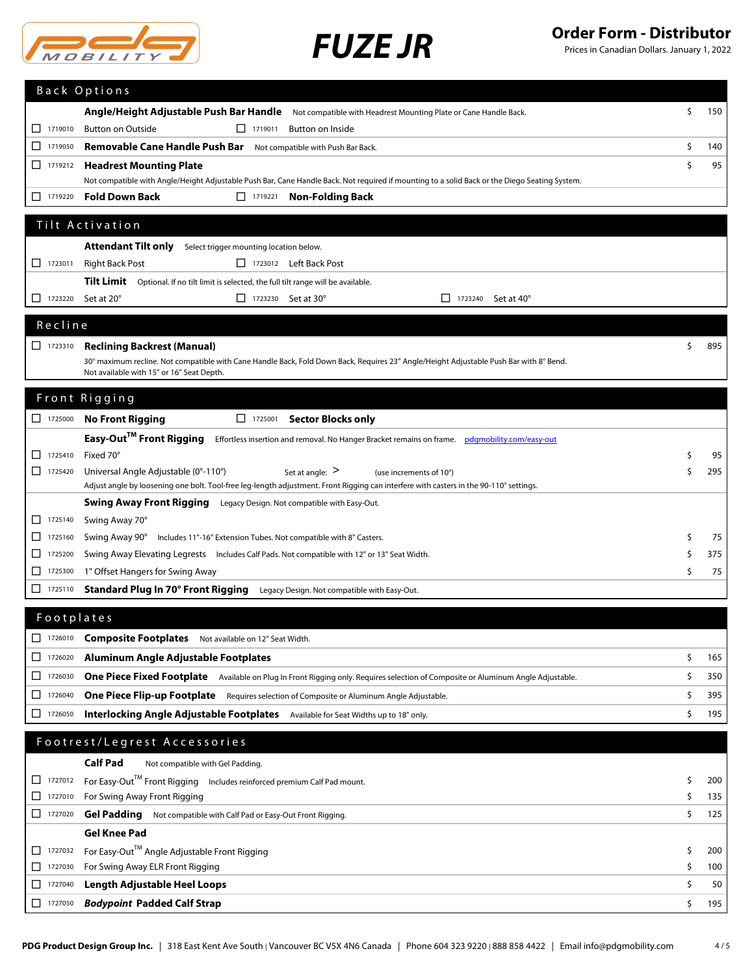

# *FUZE JR* **Order Form - Distributor**

|                                 |         | <b>Back Options</b>                                                                                                                                               |    |           |  |  |  |
|---------------------------------|---------|-------------------------------------------------------------------------------------------------------------------------------------------------------------------|----|-----------|--|--|--|
|                                 |         | Angle/Height Adjustable Push Bar Handle Not compatible with Headrest Mounting Plate or Cane Handle Back.                                                          | \$ | 150       |  |  |  |
| $\Box$ 1719010                  |         | <b>Button on Outside</b><br>$\Box$ 1719011<br>Button on Inside                                                                                                    |    |           |  |  |  |
| □ 1719050                       |         | Removable Cane Handle Push Bar<br>Not compatible with Push Bar Back.                                                                                              | \$ | 140       |  |  |  |
| $\Box$ 1719212                  |         | <b>Headrest Mounting Plate</b>                                                                                                                                    | \$ | 95        |  |  |  |
|                                 |         | Not compatible with Angle/Height Adjustable Push Bar, Cane Handle Back. Not required if mounting to a solid Back or the Diego Seating System.                     |    |           |  |  |  |
| $\boxed{\phantom{1}}$ 1719220   |         | <b>Fold Down Back</b><br>$\Box$ 1719221<br><b>Non-Folding Back</b>                                                                                                |    |           |  |  |  |
|                                 |         | Tilt Activation                                                                                                                                                   |    |           |  |  |  |
|                                 |         |                                                                                                                                                                   |    |           |  |  |  |
| $\Box$ 1723011                  |         | <b>Attendant Tilt only</b><br>Select trigger mounting location below.                                                                                             |    |           |  |  |  |
|                                 |         | <b>Right Back Post</b><br>1723012 Left Back Post                                                                                                                  |    |           |  |  |  |
| $\Box$ 1723220                  |         | Tilt Limit Optional. If no tilt limit is selected, the full tilt range will be available.<br>Set at 20°<br>$\Box$ 1723230 Set at 30°<br>$\Box$ 1723240 Set at 40° |    |           |  |  |  |
|                                 |         |                                                                                                                                                                   |    |           |  |  |  |
| Recline                         |         |                                                                                                                                                                   |    |           |  |  |  |
| 1723310                         |         | <b>Reclining Backrest (Manual)</b>                                                                                                                                | \$ | 895       |  |  |  |
|                                 |         | 30° maximum recline. Not compatible with Cane Handle Back, Fold Down Back, Requires 23" Angle/Height Adjustable Push Bar with 8° Bend.                            |    |           |  |  |  |
|                                 |         | Not available with 15" or 16" Seat Depth.                                                                                                                         |    |           |  |  |  |
|                                 |         | Front Rigging                                                                                                                                                     |    |           |  |  |  |
|                                 |         | <b>No Front Rigging</b><br>1725001 Sector Blocks only                                                                                                             |    |           |  |  |  |
|                                 |         | Easy-Out™ Front Rigging<br>Effortless insertion and removal. No Hanger Bracket remains on frame.   pdgmobility.com/easy-out                                       |    |           |  |  |  |
| $\Box$ 1725410                  |         | Fixed 70°                                                                                                                                                         | \$ | 95        |  |  |  |
| 1725420                         |         | Universal Angle Adjustable (0°-110°)<br>Set at angle: $>$<br>(use increments of 10°)                                                                              | Ś  | 295       |  |  |  |
|                                 |         | Adjust angle by loosening one bolt. Tool-free leg-length adjustment. Front Rigging can interfere with casters in the 90-110° settings.                            |    |           |  |  |  |
|                                 |         | Swing Away Front Rigging Legacy Design. Not compatible with Easy-Out.                                                                                             |    |           |  |  |  |
| 1725140                         |         | Swing Away 70°                                                                                                                                                    |    |           |  |  |  |
| ப                               | 1725160 | Swing Away 90° Includes 11"-16" Extension Tubes. Not compatible with 8" Casters.                                                                                  | \$ | 75<br>375 |  |  |  |
| ⊔                               | 1725200 | Swing Away Elevating Legrests Includes Calf Pads. Not compatible with 12" or 13" Seat Width.                                                                      |    |           |  |  |  |
| $\Box$ 1725300                  |         | 1" Offset Hangers for Swing Away                                                                                                                                  |    |           |  |  |  |
| ΙI                              | 1725110 | <b>Standard Plug In 70° Front Rigging</b> Legacy Design. Not compatible with Easy-Out.                                                                            |    |           |  |  |  |
|                                 |         | Footplates                                                                                                                                                        |    |           |  |  |  |
| 1726010                         |         | <b>Composite Footplates</b> Not available on 12" Seat Width.                                                                                                      |    |           |  |  |  |
| $\boxed{\phantom{000}}$ 1726020 |         | Aluminum Angle Adjustable Footplates                                                                                                                              | \$ | 165       |  |  |  |
| □                               | 1726030 |                                                                                                                                                                   |    |           |  |  |  |
|                                 |         | One Piece Fixed Footplate Available on Plug In Front Rigging only. Requires selection of Composite or Aluminum Angle Adjustable.                                  | \$ | 350       |  |  |  |
| □                               | 1726040 | One Piece Flip-up Footplate Requires selection of Composite or Aluminum Angle Adjustable.                                                                         | \$ | 395       |  |  |  |
| ப                               | 1726050 | Interlocking Angle Adjustable Footplates Available for Seat Widths up to 18" only.                                                                                | \$ | 195       |  |  |  |
|                                 |         | Footrest/Legrest Accessories                                                                                                                                      |    |           |  |  |  |
|                                 |         | <b>Calf Pad</b><br>Not compatible with Gel Padding.                                                                                                               |    |           |  |  |  |
| $\Box$ 1727012                  |         | For Easy-Out™ Front Rigging Includes reinforced premium Calf Pad mount.                                                                                           | \$ | 200       |  |  |  |
| $\Box$ 1727010                  |         | For Swing Away Front Rigging                                                                                                                                      | \$ | 135       |  |  |  |
| 1727020                         |         | Gel Padding Not compatible with Calf Pad or Easy-Out Front Rigging.                                                                                               | \$ | 125       |  |  |  |
|                                 |         | <b>Gel Knee Pad</b>                                                                                                                                               |    |           |  |  |  |
|                                 | 1727032 | For Easy-Out™ Angle Adjustable Front Rigging                                                                                                                      | \$ | 200       |  |  |  |
| $\Box$ 1727030                  |         | For Swing Away ELR Front Rigging                                                                                                                                  | \$ | 100       |  |  |  |
| ⊔                               | 1727040 | <b>Length Adjustable Heel Loops</b>                                                                                                                               | \$ | 50        |  |  |  |
| 1727050                         |         | <b>Bodypoint Padded Calf Strap</b>                                                                                                                                | \$ | 195       |  |  |  |
|                                 |         |                                                                                                                                                                   |    |           |  |  |  |